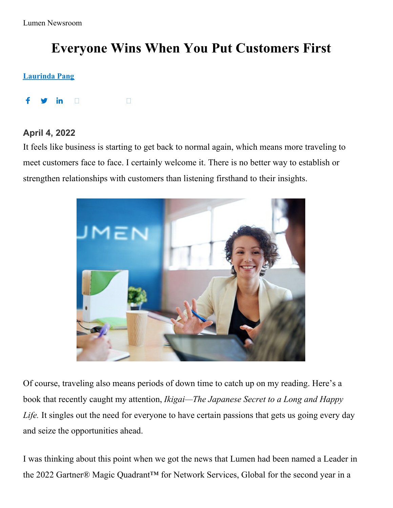Lumen Newsroom

# **Everyone Wins When You Put Customers First**

#### **[Laurinda](https://news.lumen.com/lumen-lede?author=10) Pang**

f <u>in</u> **Contract Contract Contract Contract Contract** 

## **April 4, 2022**

It feels like business is starting to get back to normal again, which means more traveling to meet customers face to face. I certainly welcome it. There is no better way to establish or strengthen relationships with customers than listening firsthand to their insights.



Of course, traveling also means periods of down time to catch up on my reading. Here's a book that recently caught my attention, *Ikigai—The Japanese Secret to a Long and Happy Life.* It singles out the need for everyone to have certain passions that gets us going every day and seize the opportunities ahead.

I was thinking about this point when we got the news that Lumen had been named a Leader in the 2022 Gartner® Magic Quadrant™ for Network Services, Global for the second year in a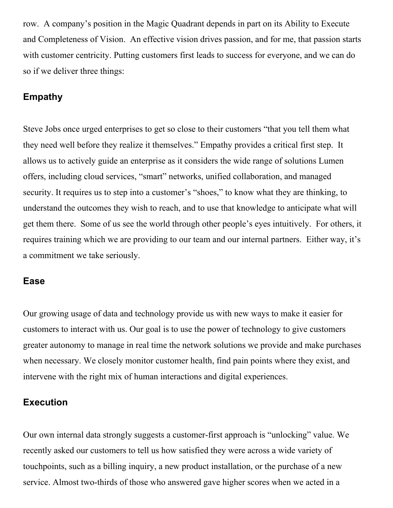row. A company's position in the Magic Quadrant depends in part on its Ability to Execute and Completeness of Vision. An effective vision drives passion, and for me, that passion starts with customer centricity. Putting customers first leads to success for everyone, and we can do so if we deliver three things:

## **Empathy**

Steve Jobs once urged enterprises to get so close to their customers "that you tell them what they need well before they realize it themselves." Empathy provides a critical first step. It allows us to actively guide an enterprise as it considers the wide range of solutions Lumen offers, including cloud services, "smart" networks, unified collaboration, and managed security. It requires us to step into a customer's "shoes," to know what they are thinking, to understand the outcomes they wish to reach, and to use that knowledge to anticipate what will get them there. Some of us see the world through other people's eyes intuitively. For others, it requires training which we are providing to our team and our internal partners. Either way, it's a commitment we take seriously.

## **Ease**

Our growing usage of data and technology provide us with new ways to make it easier for customers to interact with us. Our goal is to use the power of technology to give customers greater autonomy to manage in real time the network solutions we provide and make purchases when necessary. We closely monitor customer health, find pain points where they exist, and intervene with the right mix of human interactions and digital experiences.

#### **Execution**

Our own internal data strongly suggests a customer-first approach is "unlocking" value. We recently asked our customers to tell us how satisfied they were across a wide variety of touchpoints, such as a billing inquiry, a new product installation, or the purchase of a new service. Almost two-thirds of those who answered gave higher scores when we acted in a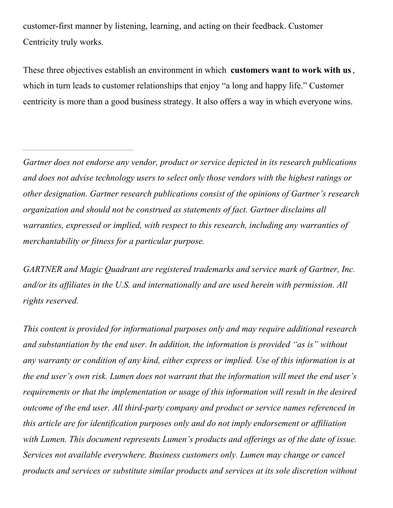customer-first manner by listening, learning, and acting on their feedback. Customer Centricity truly works.

These three objectives establish an environment in which **customers want to work with us**, which in turn leads to customer relationships that enjoy "a long and happy life." Customer centricity is more than a good business strategy. It also offers a way in which everyone wins.

*Gartner does not endorse any vendor, product or service depicted in its research publications and does not advise technology users to select only those vendors with the highest ratings or other designation. Gartner research publications consist of the opinions of Gartner's research organization and should not be construed as statements of fact. Gartner disclaims all warranties, expressed or implied, with respect to this research, including any warranties of merchantability or fitness for a particular purpose.*

*GARTNER and Magic Quadrant are registered trademarks and service mark of Gartner, Inc. and/or its af iliates in the U.S. and internationally and are used herein with permission. All rights reserved.*

*This content is provided for informational purposes only and may require additional research and substantiation by the end user. In addition, the information is provided "as is" without any warranty or condition of any kind, either express or implied. Use of this information is at the end user's own risk. Lumen does not warrant that the information will meet the end user's requirements or that the implementation or usage of this information will result in the desired outcome of the end user. All third-party company and product or service names referenced in this article are for identification purposes only and do not imply endorsement or af iliation with Lumen. This document represents Lumen's products and of erings as of the date of issue. Services not available everywhere. Business customers only. Lumen may change or cancel products and services or substitute similar products and services at its sole discretion without*